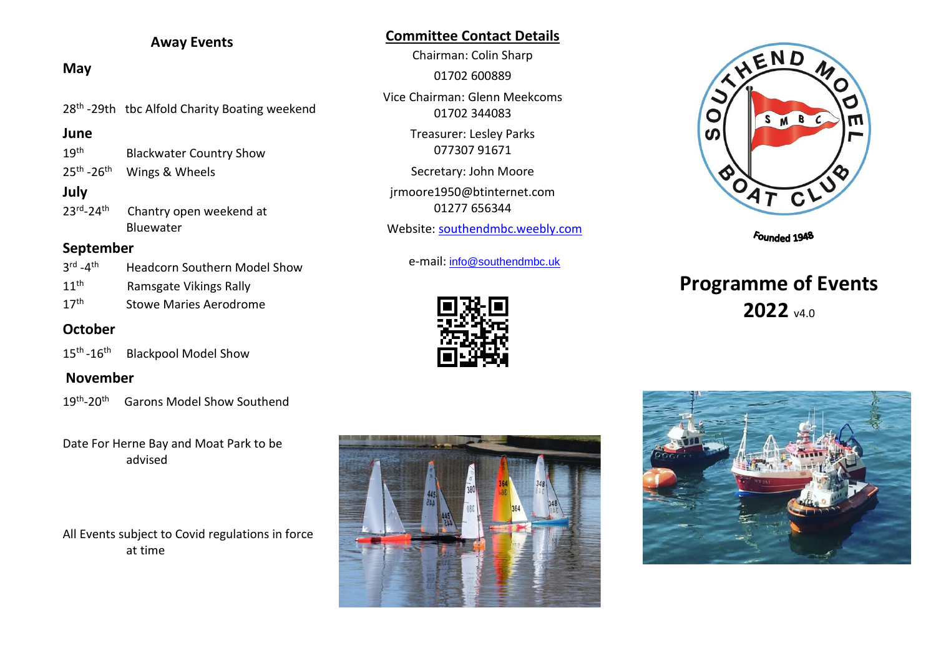## **Away Events**

## **May**

28<sup>th</sup> -29th tbc Alfold Charity Boating weekend

#### **June**

- 19<sup>th</sup> Blackwater Country Show
- $25<sup>th</sup>$ Wings & Wheels

# **July**

 $23^{\text{rd}}$ -24<sup>th</sup> Chantry open weekend at Bluewater

# **September**

| $3^{\text{rd}} - 4^{\text{th}}$ | <b>Headcorn Southern Model Show</b> |
|---------------------------------|-------------------------------------|
| $11^{\text{th}}$                | Ramsgate Vikings Rally              |
| 17 <sup>th</sup>                | <b>Stowe Maries Aerodrome</b>       |

# **October**

 $15^{\text{th}}$  -16<sup>th</sup> Blackpool Model Show

## **November**

19<sup>th</sup>-20<sup>th</sup> Garons Model Show Southend

Date For Herne Bay and Moat Park to be advised

# All Events subject to Covid regulations in force at time

# **Committee Contact Details**

Chairman: Colin Sharp 01702 600889 Vice Chairman: Glenn Meekcoms 01702 344083 Treasurer: Lesley Parks 077307 91671 Secretary: John Moore jrmoore1950@btinternet.com 01277 656344 Website: [southendmbc.weebly.com](http://www.southendmbc.weebly.com/)

e-mail: [info@southendmbc.uk](mailto:info@southendmbc.uk)





Founded 1948

# **Programme of Events** 2022 v4.0